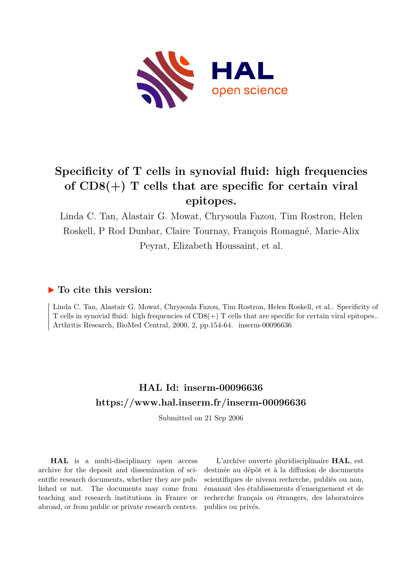

# **Specificity of T cells in synovial fluid: high frequencies of CD8(+) T cells that are specific for certain viral epitopes.**

Linda C. Tan, Alastair G. Mowat, Chrysoula Fazou, Tim Rostron, Helen Roskell, P Rod Dunbar, Claire Tournay, François Romagné, Marie-Alix Peyrat, Elizabeth Houssaint, et al.

# **To cite this version:**

Linda C. Tan, Alastair G. Mowat, Chrysoula Fazou, Tim Rostron, Helen Roskell, et al.. Specificity of T cells in synovial fluid: high frequencies of CD8(+) T cells that are specific for certain viral epitopes.. Arthritis Research, BioMed Central, 2000, 2, pp.154-64. inserm-00096636

# **HAL Id: inserm-00096636 <https://www.hal.inserm.fr/inserm-00096636>**

Submitted on 21 Sep 2006

**HAL** is a multi-disciplinary open access archive for the deposit and dissemination of scientific research documents, whether they are published or not. The documents may come from teaching and research institutions in France or abroad, or from public or private research centers.

L'archive ouverte pluridisciplinaire **HAL**, est destinée au dépôt et à la diffusion de documents scientifiques de niveau recherche, publiés ou non, émanant des établissements d'enseignement et de recherche français ou étrangers, des laboratoires publics ou privés.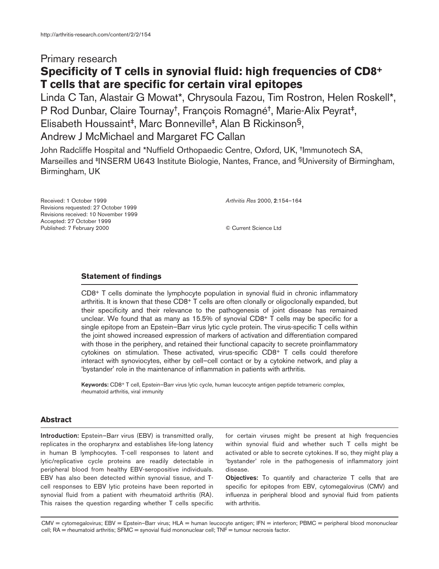# Primary research **Specificity of T cells in synovial fluid: high frequencies of CD8+ T cells that are specific for certain viral epitopes**

Linda C Tan, Alastair G Mowat\*, Chrysoula Fazou, Tim Rostron, Helen Roskell\*, P Rod Dunbar, Claire Tournay†, François Romagné†, Marie-Alix Peyrat‡, Elisabeth Houssaint‡, Marc Bonneville‡, Alan B Rickinson§, Andrew J McMichael and Margaret FC Callan

John Radcliffe Hospital and \*Nuffield Orthopaedic Centre, Oxford, UK, †Immunotech SA, Marseilles and <sup>‡</sup>INSERM U643 Institute Biologie, Nantes, France, and <sup>§</sup>University of Birmingham, Birmingham, UK

Received: 1 October 1999 Revisions requested: 27 October 1999 Revisions received: 10 November 1999 Accepted: 27 October 1999 Published: 7 February 2000

*Arthritis Res* 2000, **2**:154–164

© Current Science Ltd

## **Statement of findings**

CD8+ T cells dominate the lymphocyte population in synovial fluid in chronic inflammatory arthritis. It is known that these  $CDB^+$  T cells are often clonally or oligoclonally expanded, but their specificity and their relevance to the pathogenesis of joint disease has remained unclear. We found that as many as  $15.5\%$  of synovial CD8+ T cells may be specific for a single epitope from an Epstein–Barr virus lytic cycle protein. The virus-specific T cells within the joint showed increased expression of markers of activation and differentiation compared with those in the periphery, and retained their functional capacity to secrete proinflammatory cytokines on stimulation. These activated, virus-specific CD8+ T cells could therefore interact with synoviocytes, either by cell–cell contact or by a cytokine network, and play a 'bystander' role in the maintenance of inflammation in patients with arthritis.

**Keywords:** CD8+ T cell, Epstein–Barr virus lytic cycle, human leucocyte antigen peptide tetrameric complex, rheumatoid arthritis, viral immunity

## **Abstract**

**Introduction:** Epstein–Barr virus (EBV) is transmitted orally, replicates in the oropharynx and establishes life-long latency in human B lymphocytes. T-cell responses to latent and lytic/replicative cycle proteins are readily detectable in peripheral blood from healthy EBV-seropositive individuals. EBV has also been detected within synovial tissue, and Tcell responses to EBV lytic proteins have been reported in synovial fluid from a patient with rheumatoid arthritis (RA). This raises the question regarding whether T cells specific for certain viruses might be present at high frequencies within synovial fluid and whether such T cells might be activated or able to secrete cytokines. If so, they might play a 'bystander' role in the pathogenesis of inflammatory joint disease.

**Objectives:** To quantify and characterize T cells that are specific for epitopes from EBV, cytomegalovirus (CMV) and influenza in peripheral blood and synovial fluid from patients with arthritis.

CMV = cytomegalovirus; EBV = Epstein–Barr virus; HLA = human leucocyte antigen; IFN = interferon; PBMC = peripheral blood mononuclear cell; RA = rheumatoid arthritis; SFMC = synovial fluid mononuclear cell; TNF = tumour necrosis factor.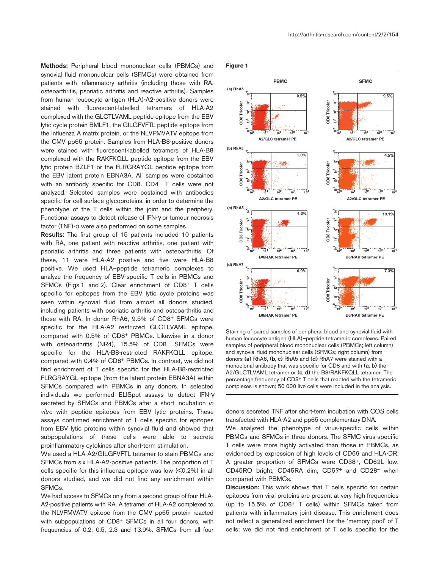**Methods:** Peripheral blood mononuclear cells (PBMCs) and synovial fluid mononuclear cells (SFMCs) were obtained from patients with inflammatory arthritis (including those with RA, osteoarthritis, psoriatic arthritis and reactive arthritis). Samples from human leucocyte antigen (HLA)-A2-positive donors were stained with fluorescent-labelled tetramers of HLA-A2 complexed with the GLCTLVAML peptide epitope from the EBV lytic cycle protein BMLF1, the GILGFVFTL peptide epitope from the influenza A matrix protein, or the NLVPMVATV epitope from the CMV pp65 protein. Samples from HLA-B8-positive donors were stained with fluorescent-labelled tetramers of HLA-B8 complexed with the RAKFKQLL peptide epitope from the EBV lytic protein BZLF1 or the FLRGRAYGL peptide epitope from the EBV latent protein EBNA3A. All samples were costained with an antibody specific for CD8. CD4+ T cells were not analyzed. Selected samples were costained with antibodies specific for cell-surface glycoproteins, in order to determine the phenotype of the T cells within the joint and the periphery. Functional assays to detect release of IFN-γ or tumour necrosis factor (TNF)-α were also performed on some samples.

**Results:** The first group of 15 patients included 10 patients with RA, one patient with reactive arthritis, one patient with psoriatic arthritis and three patients with osteoarthritis. Of these, 11 were HLA-A2 positive and five were HLA-B8 positive. We used HLA–peptide tetrameric complexes to analyze the frequency of EBV-specific T cells in PBMCs and SFMCs (Figs 1 and 2). Clear enrichment of CD8+ T cells specific for epitopes from the EBV lytic cycle proteins was seen within synovial fluid from almost all donors studied, including patients with psoriatic arthritis and osteoarthritis and those with RA. In donor RhA6, 9.5% of CD8+ SFMCs were specific for the HLA-A2 restricted GLCTLVAML epitope, compared with 0.5% of CD8+ PBMCs. Likewise in a donor with osteoarthritis (NR4), 15.5% of CD8+ SFMCs were specific for the HLA-B8-restricted RAKFKQLL epitope, compared with 0.4% of CD8+ PBMCs. In contrast, we did not find enrichment of T cells specific for the HLA-B8-restricted FLRGRAYGL epitope (from the latent protein EBNA3A) within SFMCs compared with PBMCs in any donors. In selected individuals we performed ELISpot assays to detect IFN-γ secreted by SFMCs and PBMCs after a short incubation *in vitro* with peptide epitopes from EBV lytic proteins. These assays confirmed enrichment of T cells specific for epitopes from EBV lytic proteins within synovial fluid and showed that subpopulations of these cells were able to secrete proinflammatory cytokines after short-term stimulation.

We used a HLA-A2/GILGFVFTL tetramer to stain PBMCs and SFMCs from six HLA-A2-positive patients. The proportion of T cells specific for this influenza epitope was low (<0.2%) in all donors studied, and we did not find any enrichment within SFMCs.

We had access to SFMCs only from a second group of four HLA-A2-positive patients with RA. A tetramer of HLA-A2 complexed to the NLVPMVATV epitope from the CMV pp65 protein reacted with subpopulations of CD8+ SFMCs in all four donors, with frequencies of 0.2, 0.5, 2.3 and 13.9%. SFMCs from all four





Staining of paired samples of peripheral blood and synovial fluid with human leucocyte antigen (HLA)–peptide tetrameric complexes. Paired samples of peripheral blood mononuclear cells (PBMCs; left column) and synovial fluid mononuclear cells (SFMCs; right column) from donors **(a)** RhA6, **(b, c)** RhA5 and **(d)** RhA7 were stained with a monoclonal antibody that was specific for CD8 and with **(a, b)** the A2/GLCTLVAML tetramer or **(c, d)** the B8/RAKFKQLL tetramer. The percentage frequency of CD8+ T cells that reacted with the tetrameric complexes is shown; 50 000 live cells were included in the analysis.

donors secreted TNF after short-term incubation with COS cells transfected with HLA-A2 and pp65 complementary DNA.

We analyzed the phenotype of virus-specific cells within PBMCs and SFMCs in three donors. The SFMC virus-specific T cells were more highly activated than those in PBMCs, as evidenced by expression of high levels of CD69 and HLA-DR. A greater proportion of SFMCs were CD38+, CD62L low, CD45RO bright, CD45RA dim, CD57+ and CD28– when compared with PBMCs.

**Discussion:** This work shows that T cells specific for certain epitopes from viral proteins are present at very high frequencies (up to 15.5% of CD8+ T cells) within SFMCs taken from patients with inflammatory joint disease. This enrichment does not reflect a generalized enrichment for the 'memory pool' of T cells; we did not find enrichment of T cells specific for the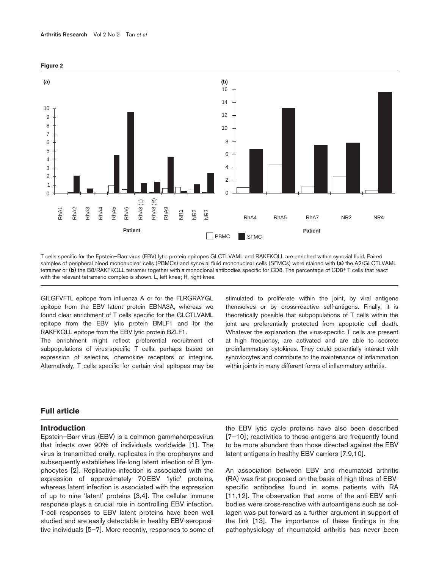

**Figure 2**

T cells specific for the Epstein–Barr virus (EBV) lytic protein epitopes GLCTLVAML and RAKFKQLL are enriched within synovial fluid. Paired samples of peripheral blood mononuclear cells (PBMCs) and synovial fluid mononuclear cells (SFMCs) were stained with **(a)** the A2/GLCTLVAML tetramer or **(b)** the B8/RAKFKQLL tetramer together with a monoclonal antibodies specific for CD8. The percentage of CD8+ T cells that react with the relevant tetrameric complex is shown. L, left knee; R, right knee.

GILGFVFTL epitope from influenza A or for the FLRGRAYGL epitope from the EBV latent protein EBNA3A, whereas we found clear enrichment of T cells specific for the GLCTLVAML epitope from the EBV lytic protein BMLF1 and for the RAKFKQLL epitope from the EBV lytic protein BZLF1.

The enrichment might reflect preferential recruitment of subpopulations of virus-specific T cells, perhaps based on expression of selectins, chemokine receptors or integrins. Alternatively, T cells specific for certain viral epitopes may be

stimulated to proliferate within the joint, by viral antigens themselves or by cross-reactive self-antigens. Finally, it is theoretically possible that subpopulations of T cells within the joint are preferentially protected from apoptotic cell death. Whatever the explanation, the virus-specific T cells are present at high frequency, are activated and are able to secrete proinflammatory cytokines. They could potentially interact with synoviocytes and contribute to the maintenance of inflammation within joints in many different forms of inflammatory arthritis.

## **Full article**

### **Introduction**

Epstein–Barr virus (EBV) is a common gammaherpesvirus that infects over 90% of individuals worldwide [1]. The virus is transmitted orally, replicates in the oropharynx and subsequently establishes life-long latent infection of B lymphocytes [2]. Replicative infection is associated with the expression of approximately 70 EBV 'lytic' proteins, whereas latent infection is associated with the expression of up to nine 'latent' proteins [3,4]. The cellular immune response plays a crucial role in controlling EBV infection. T-cell responses to EBV latent proteins have been well studied and are easily detectable in healthy EBV-seropositive individuals [5–7]. More recently, responses to some of the EBV lytic cycle proteins have also been described [7–10]; reactivities to these antigens are frequently found to be more abundant than those directed against the EBV latent antigens in healthy EBV carriers [7,9,10].

An association between EBV and rheumatoid arthritis (RA) was first proposed on the basis of high titres of EBVspecific antibodies found in some patients with RA [11,12]. The observation that some of the anti-EBV antibodies were cross-reactive with autoantigens such as collagen was put forward as a further argument in support of the link [13]. The importance of these findings in the pathophysiology of rheumatoid arthritis has never been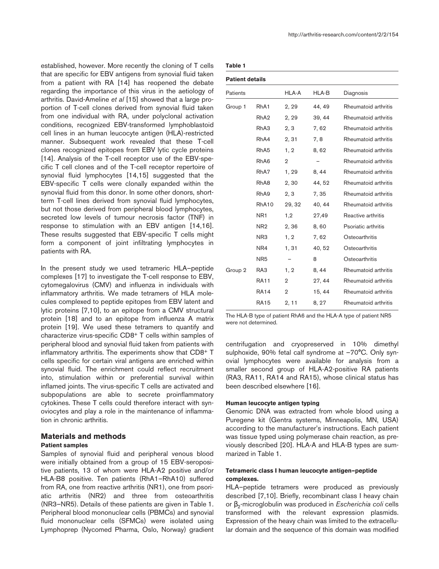established, however. More recently the cloning of T cells that are specific for EBV antigens from synovial fluid taken from a patient with RA [14] has reopened the debate regarding the importance of this virus in the aetiology of arthritis. David-Ameline *et al* [15] showed that a large proportion of T-cell clones derived from synovial fluid taken from one individual with RA, under polyclonal activation conditions, recognized EBV-transformed lymphoblastoid cell lines in an human leucocyte antigen (HLA)-restricted manner. Subsequent work revealed that these T-cell clones recognized epitopes from EBV lytic cycle proteins [14]. Analysis of the T-cell receptor use of the EBV-specific T cell clones and of the T-cell receptor repertoire of synovial fluid lymphocytes [14,15] suggested that the EBV-specific T cells were clonally expanded within the synovial fluid from this donor. In some other donors, shortterm T-cell lines derived from synovial fluid lymphocytes, but not those derived from peripheral blood lymphocytes, secreted low levels of tumour necrosis factor (TNF) in response to stimulation with an EBV antigen [14,16]. These results suggested that EBV-specific T cells might form a component of joint infiltrating lymphocytes in patients with RA.

In the present study we used tetrameric HLA–peptide complexes [17] to investigate the T-cell response to EBV, cytomegalovirus (CMV) and influenza in individuals with inflammatory arthritis. We made tetramers of HLA molecules complexed to peptide epitopes from EBV latent and lytic proteins [7,10], to an epitope from a CMV structural protein [18] and to an epitope from influenza A matrix protein [19]. We used these tetramers to quantify and characterize virus-specific CD8+ T cells within samples of peripheral blood and synovial fluid taken from patients with inflammatory arthritis. The experiments show that CD8+ T cells specific for certain viral antigens are enriched within synovial fluid. The enrichment could reflect recruitment into, stimulation within or preferential survival within inflamed joints. The virus-specific T cells are activated and subpopulations are able to secrete proinflammatory cytokines. These T cells could therefore interact with synoviocytes and play a role in the maintenance of inflammation in chronic arthritis.

# **Materials and methods**

# **Patient samples**

Samples of synovial fluid and peripheral venous blood were initially obtained from a group of 15 EBV-seropositive patients, 13 of whom were HLA-A2 positive and/or HLA-B8 positive. Ten patients (RhA1–RhA10) suffered from RA, one from reactive arthritis (NR1), one from psoriatic arthritis (NR2) and three from osteoarthritis (NR3–NR5). Details of these patients are given in Table 1. Peripheral blood mononuclear cells (PBMCs) and synovial fluid mononuclear cells (SFMCs) were isolated using Lymphoprep (Nycomed Pharma, Oslo, Norway) gradient

| ×<br>٠<br>. .<br>۰. |  |
|---------------------|--|
|---------------------|--|

| <b>Patient details</b> |                   |                |        |                      |  |  |
|------------------------|-------------------|----------------|--------|----------------------|--|--|
| Patients               |                   | HLA-A          | HLA-B  | Diagnosis            |  |  |
| Group 1                | RhA <sub>1</sub>  | 2, 29          | 44, 49 | Rheumatoid arthritis |  |  |
|                        | RhA <sub>2</sub>  | 2, 29          | 39, 44 | Rheumatoid arthritis |  |  |
|                        | RhA <sub>3</sub>  | 2, 3           | 7,62   | Rheumatoid arthritis |  |  |
|                        | RhA4              | 2, 31          | 7, 8   | Rheumatoid arthritis |  |  |
|                        | RhA <sub>5</sub>  | 1, 2           | 8,62   | Rheumatoid arthritis |  |  |
|                        | RhA <sub>6</sub>  | $\overline{2}$ |        | Rheumatoid arthritis |  |  |
|                        | RhA7              | 1, 29          | 8, 44  | Rheumatoid arthritis |  |  |
|                        | RhA <sub>8</sub>  | 2,30           | 44, 52 | Rheumatoid arthritis |  |  |
|                        | RhA9              | 2, 3           | 7, 35  | Rheumatoid arthritis |  |  |
|                        | RhA <sub>10</sub> | 29, 32         | 40, 44 | Rheumatoid arthritis |  |  |
|                        | NR <sub>1</sub>   | 1,2            | 27,49  | Reactive arthritis   |  |  |
|                        | NR <sub>2</sub>   | 2,36           | 8,60   | Psoriatic arthritis  |  |  |
|                        | NR <sub>3</sub>   | 1, 2           | 7,62   | Osteoarthritis       |  |  |
|                        | NR4               | 1, 31          | 40, 52 | Osteoarthritis       |  |  |
|                        | NR <sub>5</sub>   |                | 8      | Osteoarthritis       |  |  |
| Group 2                | RA3               | 1, 2           | 8, 44  | Rheumatoid arthritis |  |  |
|                        | <b>RA11</b>       | $\overline{2}$ | 27, 44 | Rheumatoid arthritis |  |  |
|                        | <b>RA14</b>       | $\mathbf{2}$   | 15, 44 | Rheumatoid arthritis |  |  |
|                        | <b>RA15</b>       | 2, 11          | 8, 27  | Rheumatoid arthritis |  |  |

The HLA-B type of patient RhA6 and the HLA-A type of patient NR5 were not determined.

centrifugation and cryopreserved in 10% dimethyl sulphoxide, 90% fetal calf syndrome at -70°C. Only synovial lymphocytes were available for analysis from a smaller second group of HLA-A2-positive RA patients (RA3, RA11, RA14 and RA15), whose clinical status has been described elsewhere [16].

#### **Human leucocyte antigen typing**

Genomic DNA was extracted from whole blood using a Puregene kit (Gentra systems, Minneapolis, MN, USA) according to the manufacturer's instructions. Each patient was tissue typed using polymerase chain reaction, as previously described [20]. HLA-A and HLA-B types are summarized in Table 1.

## **Tetrameric class I human leucocyte antigen–peptide complexes.**

HLA–peptide tetramers were produced as previously described [7,10]. Briefly, recombinant class I heavy chain or β<sub>2</sub>-microglobulin was produced in *Escherichia coli* cells transformed with the relevant expression plasmids. Expression of the heavy chain was limited to the extracellular domain and the sequence of this domain was modified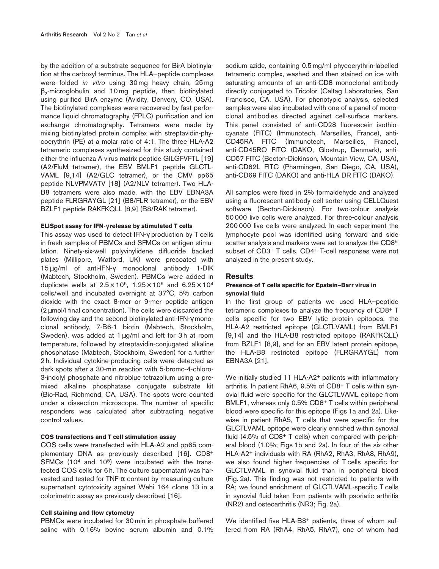by the addition of a substrate sequence for BirA biotinylation at the carboxyl terminus. The HLA–peptide complexes were folded *in vitro* using 30 mg heavy chain, 25 mg  $\beta_2$ -microglobulin and 10 mg peptide, then biotinylated using purified BirA enzyme (Avidity, Denvery, CO, USA). The biotinylated complexes were recovered by fast performance liquid chromatography (FPLC) purification and ion exchange chromatography. Tetramers were made by mixing biotinylated protein complex with streptavidin-phycoerythrin (PE) at a molar ratio of 4:1. The three HLA-A2 tetrameric complexes synthesized for this study contained either the influenza A virus matrix peptide GILGFVFTL [19] (A2/FluM tetramer), the EBV BMLF1 peptide GLCTL-VAML [9,14] (A2/GLC tetramer), or the CMV pp65 peptide NLVPMVATV [18] (A2/NLV tetramer). Two HLA-B8 tetramers were also made, with the EBV EBNA3A peptide FLRGRAYGL [21] (B8/FLR tetramer), or the EBV BZLF1 peptide RAKFKQLL [8,9] (B8/RAK tetramer).

#### **ELISpot assay for IFN-**γ **release by stimulated T cells**

This assay was used to detect IFN-γ production by T cells in fresh samples of PBMCs and SFMCs on antigen stimulation. Ninety-six-well polyvinylidene difluoride backed plates (Millipore, Watford, UK) were precoated with 15µg/ml of anti-IFN-γ monoclonal antibody 1-DIK (Mabtech, Stockholm, Sweden). PBMCs were added in duplicate wells at  $2.5 \times 10^5$ ,  $1.25 \times 10^5$  and  $6.25 \times 10^4$ cells/well and incubated overnight at 37°C, 5% carbon dioxide with the exact 8-mer or 9-mer peptide antigen (2µmol/l final concentration). The cells were discarded the following day and the second biotinylated anti-IFN-γ monoclonal antibody, 7-B6-1 biotin (Mabtech, Stockholm, Sweden), was added at 1  $\mu$ g/ml and left for 3 h at room temperature, followed by streptavidin-conjugated alkaline phosphatase (Mabtech, Stockholm, Sweden) for a further 2 h. Individual cytokine-producing cells were detected as dark spots after a 30-min reaction with 5-bromo-4-chloro-3-indolyl phosphate and nitroblue tetrazolium using a premixed alkaline phosphatase conjugate substrate kit (Bio-Rad, Richmond, CA, USA). The spots were counted under a dissection microscope. The number of specific responders was calculated after subtracting negative control values.

### **COS transfections and T cell stimulation assay**

COS cells were transfected with HLA-A2 and pp65 complementary DNA as previously described [16]. CD8+  $SFMCs$  (10<sup>4</sup> and 10<sup>5</sup>) were incubated with the transfected COS cells for 6 h. The culture supernatant was harvested and tested for TNF-α content by measuring culture supernatant cytotoxicity against Wehi 164 clone 13 in a colorimetric assay as previously described [16].

#### **Cell staining and flow cytometry**

PBMCs were incubated for 30 min in phosphate-buffered saline with 0.16% bovine serum albumin and 0.1%

sodium azide, containing 0.5 mg/ml phycoerythrin-labelled tetrameric complex, washed and then stained on ice with saturating amounts of an anti-CD8 monoclonal antibody directly conjugated to Tricolor (Caltag Laboratories, San Francisco, CA, USA). For phenotypic analysis, selected samples were also incubated with one of a panel of monoclonal antibodies directed against cell-surface markers. This panel consisted of anti-CD28 fluorescein isothiocyanate (FITC) (Immunotech, Marseilles, France), anti-CD45RA FITC (Immunotech, Marseilles, France), anti-CD45RO FITC (DAKO, Glostrup, Denmark), anti-CD57 FITC (Becton-Dickinson, Mountain View, CA, USA), anti-CD62L FITC (Pharmingen, San Diego, CA, USA), anti-CD69 FITC (DAKO) and anti-HLA DR FITC (DAKO).

All samples were fixed in 2% formaldehyde and analyzed using a fluorescent antibody cell sorter using CELLQuest software (Becton-Dickinson). For two-colour analysis 50 000 live cells were analyzed. For three-colour analysis 200 000 live cells were analyzed. In each experiment the lymphocyte pool was identified using forward and side scatter analysis and markers were set to analyze the CD8hi subset of CD3+ T cells. CD4+ T-cell responses were not analyzed in the present study.

#### **Results**

#### **Presence of T cells specific for Epstein–Barr virus in synovial fluid**

In the first group of patients we used HLA–peptide tetrameric complexes to analyze the frequency of CD8+ T cells specific for two EBV lytic protein epitopes, the HLA-A2 restricted epitope (GLCTLVAML) from BMLF1 [9,14] and the HLA-B8 restricted epitope (RAKFKQLL) from BZLF1 [8,9], and for an EBV latent protein epitope, the HLA-B8 restricted epitope (FLRGRAYGL) from EBNA3A [21].

We initially studied 11 HLA-A2<sup>+</sup> patients with inflammatory arthritis. In patient RhA6, 9.5% of CD8+ T cells within synovial fluid were specific for the GLCTLVAML epitope from BMLF1, whereas only 0.5% CD8+ T cells within peripheral blood were specific for this epitope (Figs 1a and 2a). Likewise in patient RhA5, T cells that were specific for the GLCTLVAML epitope were clearly enriched within synovial fluid (4.5% of CD8+ T cells) when compared with peripheral blood (1.0%; Figs 1b and 2a). In four of the six other HLA-A2+ individuals with RA (RhA2, RhA3, RhA8, RhA9), we also found higher frequencies of T cells specific for GLCTLVAML in synovial fluid than in peripheral blood (Fig. 2a). This finding was not restricted to patients with RA; we found enrichment of GLCTLVAML-specific T cells in synovial fluid taken from patients with psoriatic arthritis (NR2) and osteoarthritis (NR3; Fig. 2a).

We identified five HLA-B8<sup>+</sup> patients, three of whom suffered from RA (RhA4, RhA5, RhA7), one of whom had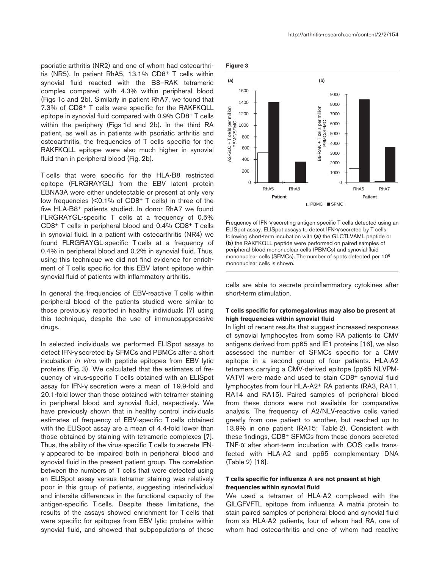psoriatic arthritis (NR2) and one of whom had osteoarthritis (NR5). In patient RhA5, 13.1% CD8+ T cells within synovial fluid reacted with the B8–RAK tetrameric complex compared with 4.3% within peripheral blood (Figs 1c and 2b). Similarly in patient RhA7, we found that 7.3% of CD8+ T cells were specific for the RAKFKQLL epitope in synovial fluid compared with 0.9% CD8+ T cells within the periphery (Figs 1d and 2b). In the third RA patient, as well as in patients with psoriatic arthritis and osteoarthritis, the frequencies of T cells specific for the RAKFKQLL epitope were also much higher in synovial fluid than in peripheral blood (Fig. 2b).

T cells that were specific for the HLA-B8 restricted epitope (FLRGRAYGL) from the EBV latent protein EBNA3A were either undetectable or present at only very low frequencies (<0.1% of CD8+ T cells) in three of the five HLA-B8+ patients studied. In donor RhA7 we found FLRGRAYGL-specific T cells at a frequency of 0.5% CD8+ T cells in peripheral blood and 0.4% CD8+ T cells in synovial fluid. In a patient with osteoarthritis (NR4) we found FLRGRAYGL-specific T cells at a frequency of 0.4% in peripheral blood and 0.2% in synovial fluid. Thus, using this technique we did not find evidence for enrichment of T cells specific for this EBV latent epitope within synovial fluid of patients with inflammatory arthritis.

In general the frequencies of EBV-reactive T cells within peripheral blood of the patients studied were similar to those previously reported in healthy individuals [7] using this technique, despite the use of immunosuppressive drugs.

In selected individuals we performed ELISpot assays to detect IFN-γ secreted by SFMCs and PBMCs after a short incubation *in vitro* with peptide epitopes from EBV lytic proteins (Fig. 3). We calculated that the estimates of frequency of virus-specific T cells obtained with an ELISpot assay for IFN-γ secretion were a mean of 19.9-fold and 20.1-fold lower than those obtained with tetramer staining in peripheral blood and synovial fluid, respectively. We have previously shown that in healthy control individuals estimates of frequency of EBV-specific T cells obtained with the ELISpot assay are a mean of 4.4-fold lower than those obtained by staining with tetrameric complexes [7]. Thus, the ability of the virus-specific T cells to secrete IFNγ appeared to be impaired both in peripheral blood and synovial fluid in the present patient group. The correlation between the numbers of T cells that were detected using an ELISpot assay versus tetramer staining was relatively poor in this group of patients, suggesting interindividual and intersite differences in the functional capacity of the antigen-specific T cells. Despite these limitations, the results of the assays showed enrichment for T cells that were specific for epitopes from EBV lytic proteins within synovial fluid, and showed that subpopulations of these





Frequency of IFN-γ secreting antigen-specific T cells detected using an ELISpot assay. ELISpot assays to detect IFN-γ secreted by T cells following short-term incubation with **(a)** the GLCTLVAML peptide or **(b)** the RAKFKQLL peptide were performed on paired samples of peripheral blood mononuclear cells (PBMCs) and synovial fluid mononuclear cells (SFMCs). The number of spots detected per 106 mononuclear cells is shown.

cells are able to secrete proinflammatory cytokines after short-term stimulation.

#### **T cells specific for cytomegalovirus may also be present at high frequencies within synovial fluid**

In light of recent results that suggest increased responses of synovial lymphocytes from some RA patients to CMV antigens derived from pp65 and IE1 proteins [16], we also assessed the number of SFMCs specific for a CMV epitope in a second group of four patients. HLA-A2 tetramers carrying a CMV-derived epitope (pp65 NLVPM-VATV) were made and used to stain CD8+ synovial fluid lymphocytes from four HLA-A2+ RA patients (RA3, RA11, RA14 and RA15). Paired samples of peripheral blood from these donors were not available for comparative analysis. The frequency of A2/NLV-reactive cells varied greatly from one patient to another, but reached up to 13.9% in one patient (RA15; Table 2). Consistent with these findings, CD8+ SFMCs from these donors secreted TNF- $\alpha$  after short-term incubation with COS cells transfected with HLA-A2 and pp65 complementary DNA (Table 2) [16].

#### **T cells specific for influenza A are not present at high frequencies within synovial fluid**

We used a tetramer of HLA-A2 complexed with the GILGFVFTL epitope from influenza A matrix protein to stain paired samples of peripheral blood and synovial fluid from six HLA-A2 patients, four of whom had RA, one of whom had osteoarthritis and one of whom had reactive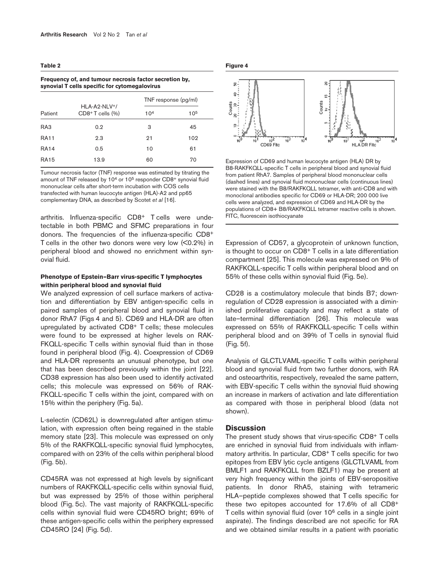#### **Table 2**

| synovial T cells specific for cytomegalovirus |                                                          |                      |          |  |  |  |
|-----------------------------------------------|----------------------------------------------------------|----------------------|----------|--|--|--|
| Patient                                       | HI A-A <sub>2</sub> -NI $V^+$ /<br>$CDB+T$ cells $(\% )$ | TNF response (pg/ml) |          |  |  |  |
|                                               |                                                          | 10 <sup>4</sup>      | $10^{5}$ |  |  |  |
| RA3                                           | 0.2                                                      | З                    | 45       |  |  |  |
| <b>RA11</b>                                   | 2.3                                                      | 21                   | 102      |  |  |  |
| <b>RA14</b>                                   | 0.5                                                      | 10                   | 61       |  |  |  |
| <b>RA15</b>                                   | 13.9                                                     | 60                   | 70       |  |  |  |

**Frequency of, and tumour necrosis factor secretion by,**

Tumour necrosis factor (TNF) response was estimated by titrating the amount of TNF released by 10<sup>4</sup> or 10<sup>5</sup> responder CD8<sup>+</sup> synovial fluid mononuclear cells after short-term incubation with COS cells transfected with human leucocyte antigen (HLA)-A2 and pp65 complementary DNA, as described by Scotet *et al* [16].

arthritis. Influenza-specific CD8+ T cells were undetectable in both PBMC and SFMC preparations in four donors. The frequencies of the influenza-specific CD8+ T cells in the other two donors were very low (<0.2%) in peripheral blood and showed no enrichment within synovial fluid.

#### **Phenotype of Epstein–Barr virus-specific T lymphocytes within peripheral blood and synovial fluid**

We analyzed expression of cell surface markers of activation and differentiation by EBV antigen-specific cells in paired samples of peripheral blood and synovial fluid in donor RhA7 (Figs 4 and 5). CD69 and HLA-DR are often upregulated by activated CD8+ T cells; these molecules were found to be expressed at higher levels on RAK-FKQLL-specific T cells within synovial fluid than in those found in peripheral blood (Fig. 4). Coexpression of CD69 and HLA-DR represents an unusual phenotype, but one that has been described previously within the joint [22]. CD38 expression has also been used to identify activated cells; this molecule was expressed on 56% of RAK-FKQLL-specific T cells within the joint, compared with on 15% within the periphery (Fig. 5a).

L-selectin (CD62L) is downregulated after antigen stimulation, with expression often being regained in the stable memory state [23]. This molecule was expressed on only 5% of the RAKFKQLL-specific synovial fluid lymphocytes, compared with on 23% of the cells within peripheral blood (Fig. 5b).

CD45RA was not expressed at high levels by significant numbers of RAKFKQLL-specific cells within synovial fluid, but was expressed by 25% of those within peripheral blood (Fig. 5c). The vast majority of RAKFKQLL-specific cells within synovial fluid were CD45RO bright; 69% of these antigen-specific cells within the periphery expressed CD45RO [24] (Fig. 5d).

#### **Figure 4**



Expression of CD69 and human leucocyte antigen (HLA) DR by B8-RAKFKQLL-specific T cells in peripheral blood and synovial fluid from patient RhA7. Samples of peripheral blood mononuclear cells (dashed lines) and synovial fluid mononuclear cells (continuous lines) were stained with the B8/RAKFKQLL tetramer, with anti-CD8 and with monoclonal antibodies specific for CD69 or HLA-DR; 200 000 live cells were analyzed, and expression of CD69 and HLA-DR by the populations of CD8+ B8/RAKFKQLL tetramer reactive cells is shown. FITC, fluorescein isothiocyanate

Expression of CD57, a glycoprotein of unknown function, is thought to occur on CD8<sup>+</sup> T cells in a late differentiation compartment [25]. This molecule was expressed on 9% of RAKFKQLL-specific T cells within peripheral blood and on 55% of these cells within synovial fluid (Fig. 5e).

CD28 is a costimulatory molecule that binds B7; downregulation of CD28 expression is associated with a diminished proliferative capacity and may reflect a state of late–terminal differentiation [26]. This molecule was expressed on 55% of RAKFKQLL-specific T cells within peripheral blood and on 39% of T cells in synovial fluid (Fig. 5f).

Analysis of GLCTLVAML-specific T cells within peripheral blood and synovial fluid from two further donors, with RA and osteoarthritis, respectively, revealed the same pattern, with EBV-specific T cells within the synovial fluid showing an increase in markers of activation and late differentiation as compared with those in peripheral blood (data not shown).

#### **Discussion**

The present study shows that virus-specific CD8+ T cells are enriched in synovial fluid from individuals with inflammatory arthritis. In particular, CD8+ T cells specific for two epitopes from EBV lytic cycle antigens (GLCTLVAML from BMLF1 and RAKFKQLL from BZLF1) may be present at very high frequency within the joints of EBV-seropositive patients. In donor RhA5, staining with tetrameric HLA–peptide complexes showed that T cells specific for these two epitopes accounted for 17.6% of all CD8+ T cells within synovial fluid (over 106 cells in a single joint aspirate). The findings described are not specific for RA and we obtained similar results in a patient with psoriatic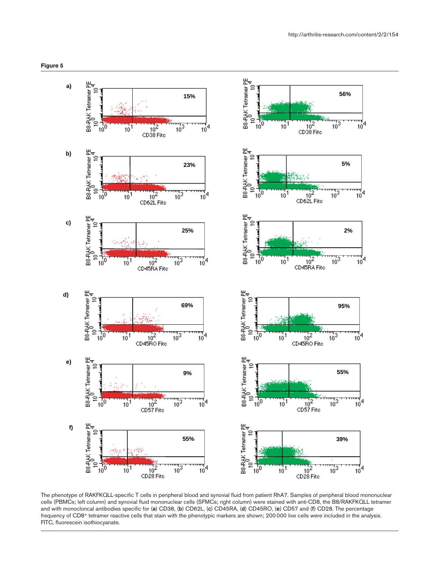



The phenotype of RAKFKQLL-specific T cells in peripheral blood and synovial fluid from patient RhA7. Samples of peripheral blood mononuclear cells (PBMCs; left column) and synovial fluid mononuclear cells (SFMCs; right column) were stained with anti-CD8, the B8/RAKFKQLL tetramer and with monocloncal antibodies specific for (**a**) CD38, (**b**) CD62L, (**c**) CD45RA, (**d**) CD45RO, (**e**) CD57 and (**f**) CD28. The percentage frequency of CD8+ tetramer reactive cells that stain with the phenotypic markers are shown; 200 000 live cells were included in the analysis. FITC, fluorescein isothiocyanate.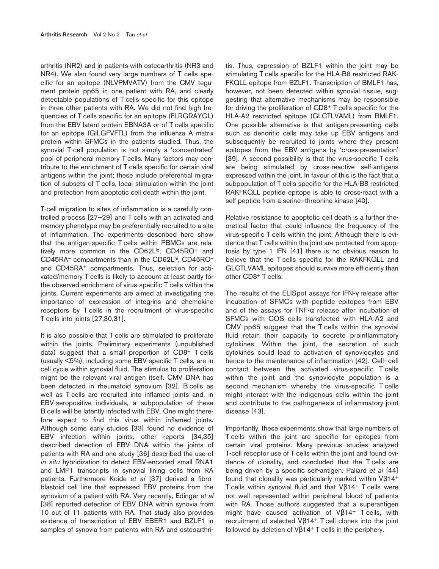arthritis (NR2) and in patients with osteoarthritis (NR3 and NR4). We also found very large numbers of T cells specific for an epitope (NLVPMVATV) from the CMV tegument protein pp65 in one patient with RA, and clearly detectable populations of T cells specific for this epitope in three other patients with RA. We did not find high frequencies of T cells specific for an epitope (FLRGRAYGL) from the EBV latent protein EBNA3A or of T cells specific for an epitope (GILGFVFTL) from the influenza A matrix protein within SFMCs in the patients studied. Thus, the synovial T-cell population is not simply a 'concentrated' pool of peripheral memory T cells. Many factors may contribute to the enrichment of T cells specific for certain viral antigens within the joint; these include preferential migration of subsets of T cells, local stimulation within the joint and protection from apoptotic cell death within the joint.

T-cell migration to sites of inflammation is a carefully controlled process [27–29] and T cells with an activated and memory phenotype may be preferentially recruited to a site of inflammation. The experiments described here show that the antigen-specific T cells within PBMCs are relatively more common in the CD62L<sup>lo</sup>, CD45RO<sup>+</sup> and CD45RA– compartments than in the CD62Lhi, CD45RO– and CD45RA+ compartments. Thus, selection for activated/memory T cells is likely to account at least partly for the observed enrichment of virus-specific T cells within the joints. Current experiments are aimed at investigating the importance of expression of integrins and chemokine receptors by T cells in the recruitment of virus-specific T cells into joints [27,30,31].

It is also possible that T cells are stimulated to proliferate within the joints. Preliminary experiments (unpublished data) suggest that a small proportion of CD8+ T cells (usually <5%), including some EBV-specific T cells, are in cell cycle within synovial fluid. The stimulus to proliferation might be the relevant viral antigen itself. CMV DNA has been detected in rheumatoid synovium [32]. B cells as well as T cells are recruited into inflamed joints and, in EBV-seropositive individuals, a subpopulation of these B cells will be latently infected with EBV. One might therefore expect to find this virus within inflamed joints. Although some early studies [33] found no evidence of EBV infection within joints, other reports [34,35] described detection of EBV DNA within the joints of patients with RA and one study [36] described the use of *in situ* hybridization to detect EBV-encoded small RNA1 and LMP1 transcripts in synovial lining cells from RA patients. Furthermore Koide *et al* [37] derived a fibroblastoid cell line that expressed EBV proteins from the synovium of a patient with RA. Very recently, Edinger *et al* [38] reported detection of EBV DNA within synovia from 10 out of 11 patients with RA. That study also provides evidence of transcription of EBV EBER1 and BZLF1 in samples of synovia from patients with RA and osteoarthritis. Thus, expression of BZLF1 within the joint may be stimulating T cells specific for the HLA-B8 restricted RAK-FKQLL epitope from BZLF1. Transcription of BMLF1 has, however, not been detected within synovial tissue, suggesting that alternative mechanisms may be responsible for driving the proliferation of CD8<sup>+</sup> T cells specific for the HLA-A2 restricted epitope (GLCTLVAML) from BMLF1. One possible alternative is that antigen-presenting cells such as dendritic cells may take up EBV antigens and subsequently be recruited to joints where they present epitopes from the EBV antigens by 'cross-presentation' [39]. A second possibility is that the virus-specific T cells are being stimulated by cross-reactive self-antigens expressed within the joint. In favour of this is the fact that a subpopulation of T cells specific for the HLA-B8 restricted RAKFKQLL peptide epitope is able to cross-react with a self peptide from a serine–threonine kinase [40].

Relative resistance to apoptotic cell death is a further theoretical factor that could influence the frequency of the virus-specific T cells within the joint. Although there is evidence that T cells within the joint are protected from apoptosis by type 1 IFN [41] there is no obvious reason to believe that the T cells specific for the RAKFKQLL and GLCTLVAML epitopes should survive more efficiently than other CD8+ T cells.

The results of the ELISpot assays for IFN-γ release after incubation of SFMCs with peptide epitopes from EBV and of the assays for TNF- $\alpha$  release after incubation of SFMCs with COS cells transfected with HLA-A2 and CMV pp65 suggest that the T cells within the synovial fluid retain their capacity to secrete proinflammatory cytokines. Within the joint, the secretion of such cytokines could lead to activation of synoviocytes and hence to the maintenance of inflammation [42]. Cell–cell contact between the activated virus-specific T cells within the joint and the synoviocyte population is a second mechanism whereby the virus-specific T cells might interact with the indigenous cells within the joint and contribute to the pathogenesis of inflammatory joint disease [43].

Importantly, these experiments show that large numbers of T cells within the joint are specific for epitopes from certain viral proteins. Many previous studies analyzed T-cell receptor use of T cells within the joint and found evidence of clonality, and concluded that the T cells are being driven by a specific self-antigen. Paliard *et al* [44] found that clonality was particularly marked within Vβ14+ T cells within synovial fluid and that Vβ14+ T cells were not well represented within peripheral blood of patients with RA. Those authors suggested that a superantigen might have caused activation of  $V\beta$ 14<sup>+</sup> T cells, with recruitment of selected Vβ14+ T cell clones into the joint followed by deletion of  $V\beta$ 14<sup>+</sup> T cells in the periphery.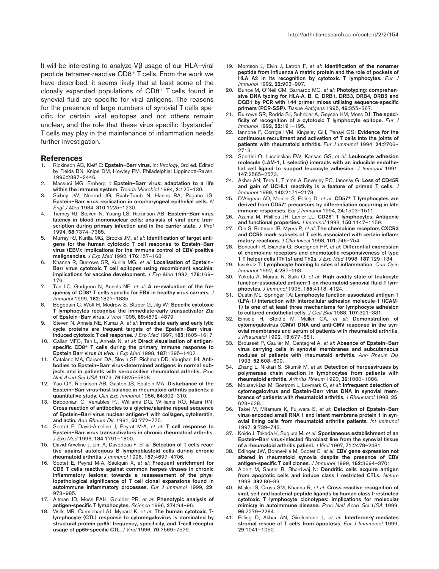It will be interesting to analyze Vβ usage of our HLA–viral peptide tetramer-reactive CD8+ T cells. From the work we have described, it seems likely that at least some of the clonally expanded populations of CD8+ T cells found in synovial fluid are specific for viral antigens. The reasons for the presence of large numbers of synovial T cells specific for certain viral epitopes and not others remain unclear, and the role that these virus-specific 'bystander' T cells may play in the maintenance of inflammation needs further investigation.

#### **References**

- 1. Rickinson AB, Kieff E: **Epstein–Barr virus.** In: *Virology*, 3rd ed. Edited by Fields BN, Knipe DM, Howley PM. Philadelphia: Lippincott-Raven, 1996:2397–2446.
- 2. Massuci MG, Ernberg I: **Epstein–Barr virus: adaptation to a life within the immune system.** *Trends Microbiol* 1994, **2**:125–130.
- 3. Sixbey JW, Nedrud JG, Raab-Traub N, Hanes RA, Pagano JS: **Epstein–Barr virus replication in oropharyngeal epithelial cells.** *N Engl J Med* 1984, **310**:1225–1230.
- 4. Tierney RJ, Steven N, Young LS, Rickinson AB: **Epstein–Barr virus latency in blood mononuclear cells: analysis of viral gene transcription during primary infection and in the carrier state.** *J Virol* 1994, **68**:7374–7385.
- 5. Murray RJ, Kurilla MG, Brooks JM, *et al*: **Identification of target antigens for the human cytotoxic T cell response to Epstein–Barr virus (EBV): implications for the immune control of EBV-positive malignancies.** *J Exp Med* 1992, **176**:157–168.
- 6. Khanna R, Burrows SR, Kurilla MG, *et al*: **Localisation of Epstein– Barr virus cytotoxic T cell epitopes using recombinant vaccinia: implications for vaccine development.** *J Exp Med* 1992, **176**:169– 176.
- 7. Tan LC, Gudgeon N, Annels NE, *et al***: A re-evaluation of the frequency of CD8+ T cells specific for EBV in healthy virus carriers.** *J Immunol* 1999, **162**:1827–1835.
- 8. Bogedain C, Wolf H, Modrow S, Stuber G, Jilg W: **Specific cytotoxic T lymphocytes recognise the immediate-early transactivator Zta of Epstein–Barr virus.** *J Virol* 1995, **69**:4872–4879.
- 9. Steven N, Annels NE, Kumar A, *et al*: **Immediate early and early lytic cycle proteins are frequent targets of the Epstein–Barr virusinduced cytotoxic T cell response.** *J Exp Med* 1997, **185**:1605–1617.
- 10. Callan MFC, Tan L, Annels N, *et al*: **Direct visualisation of antigenspecific CD8+ T cells during the primary immune response to Epstein Barr virus** *in vivo***.** *J Exp Med* 1998, **187**:1395–1402.
- 11. Catalano MA, Carson DA, Slovin SF, Richman DD, Vaughan JH: **Antibodies to Epstein–Barr virus-determined antigens in normal subjects and in patients with seropositive rheumatoid arthritis.** *Proc Natl Acad Sci USA* 1979, **76**:5825–5828.
- 12. Yao QY, Rickinson AB, Gaston JS, Epstein MA: **Disturbance of the Epstein–Barr virus-host balance in rheumatoid arthritis patients: a quantitative study.** *Clin Exp Immunol* 1986, **64**:302–310.
- 13. Baboonian C, Venables PJ, Williams DG, Williams RO, Maini RN: **Cross reaction of antibodies to a glycine/alanine repeat sequence of Epstein–Barr virus nuclear antigen-1 with collagen, cytokeratin, and actin.** *Ann Rheum Dis* 1991, **50**:772–775.
- 14. Scotet E, David-Ameline J, Peyrat M-A, *et al*: **T cell response to Epstein–Barr virus transactivators in chronic rheumatoid arthritis.** *J Exp Med* 1996, **184**:1791–1800.
- 15. David-Ameline J, Lim A, Davodeau F, *et al*: **Selection of T cells reactive against autologous B lymphoblastoid cells during chronic rheumatoid arthritis.** *J Immunol* 1996, **157**:4697–4706.
- 16. Scotet E, Peyrat M-A, Saulquin X, *et al*: **Frequent enrichment for CD8 T cells reactive against common herpes viruses in chronic inflammatory lesions: towards a reassessment of the physiopathological significance of T cell clonal expansions found in autoimmune inflammatory processes.** *Eur J Immunol* 1999, **29**: 973–985.
- 17. Altman JD, Moss PAH, Goulder PR, *et al*: **Phenotypic analysis of antigen-specific T lymphocytes.** *Science* 1996, **274**:94–96.
- 18. Wills MR, Carmichael AJ, Mynard K, *et al*: **The human cytotoxic Tlymphocyte (CTL) response to cytomegalovirus is dominated by structural protein pp65: frequency, specificity, and T-cell receptor usage of pp65-specific CTL.** *J Virol* 1996, **70**:7569–7579.
- 19. Morrison J, Elvin J, Latron F, *et al*: **Identification of the nonamer peptide from influenza A matrix protein and the role of pockets of HLA A2 in its recognition by cytotoxic T lymphocytes.** *Eur J Immunol* 1992, **22**:903–907.
- 20. Bunce M, O'Neil CM, Barnardo MC, *et al*: **Phototyping: comprehensive DNA typing for HLA-A, B, C, DRB1, DRB3, DRB4, DRB5 and DQB1 by PCR with 144 primer mixes utilising sequence-specific primers (PCR-SSP).** *Tissue Antigens* 1995, **46**:355–367.
- 21. Burrows SR, Rodda SJ, Suhrbier A, Geysen HM, Moss DJ: **The specificity of recognition of a cytotoxic T lymphocyte epitope.** *Eur J Immunol* 1992, **22**:191–195.
- 22. Iannone F, Corrigall VM, Kingsley GH, Panayi GS: **Evidence for the continuous recruitment and activation of T cells into the joints of patients with rheumatoid arthritis.** *Eur J Immunol* 1994, **24**:2706– 2713.
- 23. Spertini O, Luscinskas FW, Kansas GS, *et al*: **Leukocyte adhesion molecule (LAM-1, L selectin) interacts with an inducible endothelial cell ligand to support leucocyte adhesion.** *J Immunol* 1991, **147**:2565–2573.
- 24. Akbar AN, Terry L, Timms A, Beverley PC, Janossy G: **Loss of CD45R and gain of UCHL1 reactivity is a feature of primed T cells.** *J Immunol* 1988, **140**:2171–2178.
- 25. D'Angeac AD, Monier S, Pilling D, *et al*: **CD57+ T lymphocytes are derived from CD57– precursors by differentiation occurring in late immune responses.** *Eur J Immunol* 1994, **24**:1503–1511.
- 26. Azuma M, Phillips JH, Lanier LL: **CD28– T lymphocytes. Antigenic and functional properties.** *J Immunol* 1993, **150**:1147–1159.
- 27. Qin S, Rottman JB, Myers P, *et al*: **The chemokine receptors CXCR3 and CCR5 mark subsets of T cells associated with certain inflammatory reactions.** *J Clin Invest* 1998, **101**:746–754.
- 28. Bonecchi R, Bianchi G, Bordignon PP, *et al*: **Differential expression of chemokine receptors and chemotactic responsiveness of type 1 T helper cells (Th1s) and Th2s.** *J Exp Med* 1998, **187**:129–134.
- 29. Issekutz T: **Lymphocyte homing to sites of inflammation.** *Curr Opin Immunol* 1992, **4**:287–293.
- 30. Yokota A, Murata N, Saiki O, *et al*: **High avidity state of leukocyte function-associated antigen-1 on rheumatoid synovial fluid T lymphocytes.** *J Immunol* 1995, **155**:4118–4124.
- 31. Dustin ML, Springer TA: **Lymphocyte function-associated antigen-1 (LFA-1) interaction with intercellular adhesion molecule-1 (ICAM-1) is one of at least three mechanisms for lymphocyte adhesion to cultured endothelial cells.** *J Cell Biol* 1988, **107**:321–331.
- 32. Einsele H, Steidle M, Muller CA, *et al*: **Demonstration of cytomegalovirus (CMV) DNA and anti-CMV response in the synovial membranes and serum of patients with rheumatoid arthritis.** *J Rheumatol* 1992, **19**:677–681.
- 33. Brousset P, Caulier M, Cantagrel A, *et al*: **Absence of Epstein–Barr virus carrying cells in synovial membranes and subcutaneous nodules of patients with rheumatoid arthritis.** *Ann Rheum Dis* 1993, **52**:608–609.
- 34. Zhang L, Nikkari S, Skurnik M, *et al*: **Detection of herpesviruses by polymerase chain reaction in lymphocytes from patients with rheumatoid arthritis.** *Arthritis Rheum* 1993, **36**:1080–1086.
- 35. Mousavi-Jazi M, Bostrom L, Lovmark C, *et al*: **Infrequent detection of cytomegalovirus and Epstein-Barr virus DNA in synovial membrance of patients with rheumatoid arthritis.** *J Rheumatol* 1998, **25**: 623–628.
- 36. Takei M, Mitamura K, Fujiwara S, *et al*: **Detection of Epstein–Barr virus-encoded small RNA 1 and latent membrane protein 1 in synovial lining cells from rheumatoid arthritis patients.** *Int Immunol* 1997, **9**:739–743.
- 37. Koide J, Takada K, Sugiura M, *et al*: **Spontaneous establishment of an Epstein–Barr virus-infected fibroblast line from the synovial tissue of a rheumatoid arthritis patient.** *J Virol* 1997, **71**:2478–2481.
- 38. Edinger JW, Bonneville M, Scotet E, *et al*: **EBV gene expression not altered in rheumatoid synovia despite the presence of EBV antigen-specific T cell clones.** *J Immunol* 1999, **162**:3694–3701.
- 39. Albert M, Sauter B, Bhardwaj N: **Dendritic cells acquire antigen from apoptotic cells and induce class I restricted CTLs.** *Nature* 1998, **392**:86–89.
- 40. Misko IS, Cross SM, Khanna R, *et al*: **Cross reactive recognition of viral, self and bacterial peptide ligands by human class I-restricted cytotoxic T lymphocyte clonotypes: implications for molecular mimicry in autoimmune disease.** *Proc Natl Acad Sci USA* 1999, **96**:2279–2284.
- 41. Pilling D, Akbar AN, Girdlestone J, *et al*: **Interferon-**γ **mediates stromal rescue of T cells from apoptosis**. *Eur J Immmunol* 1999, **29**:1041–1050.